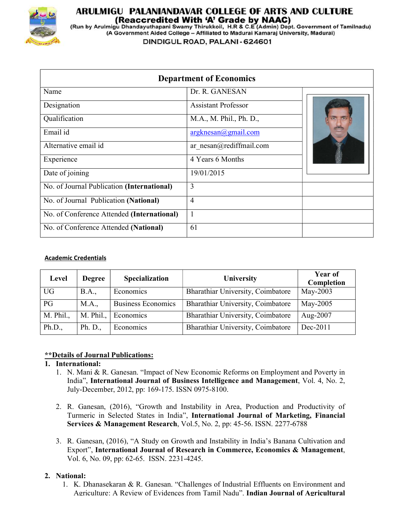

# ARULMIGU PALANIANDAVAR COLLEGE OF ARTS AND CULTURE (Reaccredited With 'A' Grade by NAAC)

(Run by Arulmigu Dhandayuthapani Swamy Thirukkoil, H.R & C.E (Admin) Dept. Government of Tamilnadu) (A Government Aided College - Affiliated to Madurai Kamaraj University, Madurai)

DINDIGUL ROAD, PALANI - 624601

|                                            | <b>Department of Economics</b> |  |
|--------------------------------------------|--------------------------------|--|
| Name                                       | Dr. R. GANESAN                 |  |
| Designation                                | <b>Assistant Professor</b>     |  |
| Qualification                              | M.A., M. Phil., Ph. D.,        |  |
| Email id                                   | $argknesan(a)$ gmail.com       |  |
| Alternative email id                       | $ar\_nesan@rediffmail.com$     |  |
| Experience                                 | 4 Years 6 Months               |  |
| Date of joining                            | 19/01/2015                     |  |
| No. of Journal Publication (International) | 3                              |  |
| No. of Journal Publication (National)      | $\overline{4}$                 |  |
| No. of Conference Attended (International) |                                |  |
| No. of Conference Attended (National)      | 61                             |  |

## Academic Credentials

| Level     | <b>Degree</b> | <b>Specialization</b>     | <b>University</b>                 | <b>Year of</b><br>Completion |
|-----------|---------------|---------------------------|-----------------------------------|------------------------------|
| <b>UG</b> | <b>B.A.</b> , | Economics                 | Bharathiar University, Coimbatore | May-2003                     |
| PG        | M.A.,         | <b>Business Economics</b> | Bharathiar University, Coimbatore | May-2005                     |
| M. Phil., | M. Phil.,     | Economics                 | Bharathiar University, Coimbatore | Aug-2007                     |
| Ph.D.,    | Ph. D.,       | Economics                 | Bharathiar University, Coimbatore | $Dec-2011$                   |

# \*\*Details of Journal Publications:

# 1. International:

- 1. N. Mani & R. Ganesan. "Impact of New Economic Reforms on Employment and Poverty in India", International Journal of Business Intelligence and Management, Vol. 4, No. 2, July-December, 2012, pp: 169-175. ISSN 0975-8100.
- 2. R. Ganesan, (2016), "Growth and Instability in Area, Production and Productivity of Turmeric in Selected States in India", International Journal of Marketing, Financial Services & Management Research, Vol.5, No. 2, pp: 45-56. ISSN. 2277-6788
- 3. R. Ganesan, (2016), "A Study on Growth and Instability in India's Banana Cultivation and Export", International Journal of Research in Commerce, Economics & Management, Vol. 6, No. 09, pp: 62-65. ISSN. 2231-4245.

# 2. National:

1. K. Dhanasekaran & R. Ganesan. "Challenges of Industrial Effluents on Environment and Agriculture: A Review of Evidences from Tamil Nadu". Indian Journal of Agricultural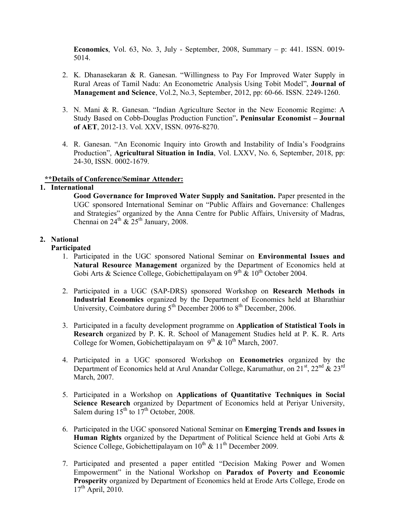**Economics**, Vol. 63, No. 3, July - September, 2008, Summary  $-$  p: 441. ISSN. 0019-5014.

- 2. K. Dhanasekaran & R. Ganesan. "Willingness to Pay For Improved Water Supply in Rural Areas of Tamil Nadu: An Econometric Analysis Using Tobit Model", Journal of Management and Science, Vol.2, No.3, September, 2012, pp: 60-66. ISSN. 2249-1260.
- 3. N. Mani & R. Ganesan. "Indian Agriculture Sector in the New Economic Regime: A Study Based on Cobb-Douglas Production Function". Peninsular Economist – Journal of AET, 2012-13. Vol. XXV, ISSN. 0976-8270.
- 4. R. Ganesan. "An Economic Inquiry into Growth and Instability of India's Foodgrains Production", Agricultural Situation in India, Vol. LXXV, No. 6, September, 2018, pp: 24-30, ISSN. 0002-1679.

## \*\*Details of Conference/Seminar Attender:

### 1. International

Good Governance for Improved Water Supply and Sanitation. Paper presented in the UGC sponsored International Seminar on "Public Affairs and Governance: Challenges and Strategies" organized by the Anna Centre for Public Affairs, University of Madras, Chennai on  $24^{\text{th}}$  &  $25^{\text{th}}$  January, 2008.

## 2. National

### Participated

- 1. Participated in the UGC sponsored National Seminar on Environmental Issues and Natural Resource Management organized by the Department of Economics held at Gobi Arts & Science College, Gobichettipalayam on  $9^{th}$  &  $10^{th}$  October 2004.
- 2. Participated in a UGC (SAP-DRS) sponsored Workshop on Research Methods in Industrial Economics organized by the Department of Economics held at Bharathiar University, Coimbatore during  $5<sup>th</sup>$  December 2006 to  $8<sup>th</sup>$  December, 2006.
- 3. Participated in a faculty development programme on Application of Statistical Tools in Research organized by P. K. R. School of Management Studies held at P. K. R. Arts College for Women, Gobichettipalayam on  $9<sup>th</sup>$  &  $10<sup>th</sup>$  March, 2007.
- 4. Participated in a UGC sponsored Workshop on Econometrics organized by the Department of Economics held at Arul Anandar College, Karumathur, on  $21^{st}$ ,  $22^{nd}$  &  $23^{rd}$ March, 2007.
- 5. Participated in a Workshop on Applications of Quantitative Techniques in Social Science Research organized by Department of Economics held at Periyar University, Salem during  $15^{th}$  to  $17^{th}$  October, 2008.
- 6. Participated in the UGC sponsored National Seminar on Emerging Trends and Issues in Human Rights organized by the Department of Political Science held at Gobi Arts & Science College, Gobichettipalayam on  $10^{th}$  &  $11^{th}$  December 2009.
- 7. Participated and presented a paper entitled "Decision Making Power and Women Empowerment" in the National Workshop on Paradox of Poverty and Economic Prosperity organized by Department of Economics held at Erode Arts College, Erode on  $17<sup>th</sup>$  April, 2010.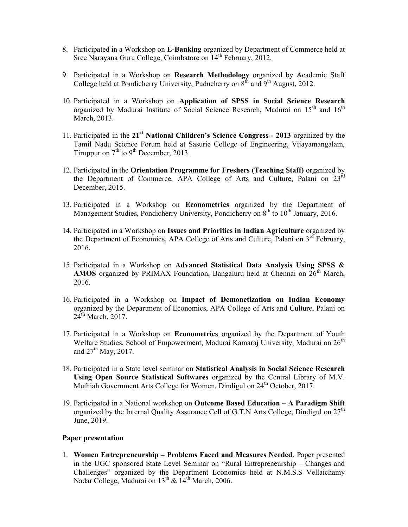- 8. Participated in a Workshop on E-Banking organized by Department of Commerce held at Sree Narayana Guru College, Coimbatore on 14<sup>th</sup> February, 2012.
- 9. Participated in a Workshop on Research Methodology organized by Academic Staff College held at Pondicherry University, Puducherry on  $8<sup>th</sup>$  and  $9<sup>th</sup>$  August, 2012.
- 10. Participated in a Workshop on Application of SPSS in Social Science Research organized by Madurai Institute of Social Science Research, Madurai on 15<sup>th</sup> and 16<sup>th</sup> March, 2013.
- 11. Participated in the  $21<sup>st</sup>$  National Children's Science Congress 2013 organized by the Tamil Nadu Science Forum held at Sasurie College of Engineering, Vijayamangalam, Tiruppur on  $7<sup>th</sup>$  to  $9<sup>th</sup>$  December, 2013.
- 12. Participated in the Orientation Programme for Freshers (Teaching Staff) organized by the Department of Commerce, APA College of Arts and Culture, Palani on 23<sup>rd</sup> December, 2015.
- 13. Participated in a Workshop on Econometrics organized by the Department of Management Studies, Pondicherry University, Pondicherry on  $8<sup>th</sup>$  to  $10<sup>th</sup>$  January, 2016.
- 14. Participated in a Workshop on Issues and Priorities in Indian Agriculture organized by the Department of Economics, APA College of Arts and Culture, Palani on  $3<sup>rd</sup>$  February, 2016.
- 15. Participated in a Workshop on Advanced Statistical Data Analysis Using SPSS & AMOS organized by PRIMAX Foundation, Bangaluru held at Chennai on  $26<sup>th</sup>$  March, 2016.
- 16. Participated in a Workshop on Impact of Demonetization on Indian Economy organized by the Department of Economics, APA College of Arts and Culture, Palani on  $24^{\text{th}}$  March, 2017.
- 17. Participated in a Workshop on Econometrics organized by the Department of Youth Welfare Studies, School of Empowerment, Madurai Kamaraj University, Madurai on  $26<sup>th</sup>$ and  $27<sup>th</sup>$  May, 2017.
- 18. Participated in a State level seminar on Statistical Analysis in Social Science Research Using Open Source Statistical Softwares organized by the Central Library of M.V. Muthiah Government Arts College for Women, Dindigul on  $24<sup>th</sup>$  October, 2017.
- 19. Participated in a National workshop on Outcome Based Education A Paradigm Shift organized by the Internal Quality Assurance Cell of G.T.N Arts College, Dindigul on  $27<sup>th</sup>$ June, 2019.

#### Paper presentation

1. Women Entrepreneurship – Problems Faced and Measures Needed. Paper presented in the UGC sponsored State Level Seminar on "Rural Entrepreneurship – Changes and Challenges" organized by the Department Economics held at N.M.S.S Vellaichamy Nadar College, Madurai on  $13^{th}$  &  $14^{th}$  March, 2006.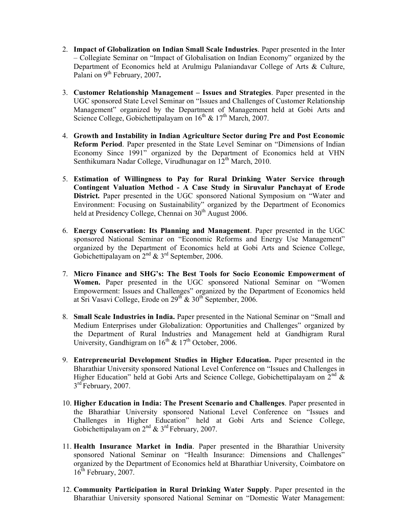- 2. Impact of Globalization on Indian Small Scale Industries. Paper presented in the Inter – Collegiate Seminar on "Impact of Globalisation on Indian Economy" organized by the Department of Economics held at Arulmigu Palaniandavar College of Arts & Culture, Palani on 9<sup>th</sup> February, 2007.
- 3. Customer Relationship Management Issues and Strategies. Paper presented in the UGC sponsored State Level Seminar on "Issues and Challenges of Customer Relationship Management" organized by the Department of Management held at Gobi Arts and Science College, Gobichettipalayam on  $16^{th}$  &  $17^{th}$  March, 2007.
- 4. Growth and Instability in Indian Agriculture Sector during Pre and Post Economic Reform Period. Paper presented in the State Level Seminar on "Dimensions of Indian Economy Since 1991" organized by the Department of Economics held at VHN Senthikumara Nadar College, Virudhunagar on  $12<sup>th</sup>$  March, 2010.
- 5. Estimation of Willingness to Pay for Rural Drinking Water Service through Contingent Valuation Method - A Case Study in Siruvalur Panchayat of Erode District. Paper presented in the UGC sponsored National Symposium on "Water and Environment: Focusing on Sustainability" organized by the Department of Economics held at Presidency College, Chennai on 30<sup>th</sup> August 2006.
- 6. Energy Conservation: Its Planning and Management. Paper presented in the UGC sponsored National Seminar on "Economic Reforms and Energy Use Management" organized by the Department of Economics held at Gobi Arts and Science College, Gobichettipalayam on  $2^{nd}$  &  $3^{rd}$  September, 2006.
- 7. Micro Finance and SHG's: The Best Tools for Socio Economic Empowerment of Women. Paper presented in the UGC sponsored National Seminar on "Women Empowerment: Issues and Challenges" organized by the Department of Economics held at Sri Vasavi College, Erode on 29<sup>th</sup> & 30<sup>th</sup> September, 2006.
- 8. Small Scale Industries in India. Paper presented in the National Seminar on "Small and Medium Enterprises under Globalization: Opportunities and Challenges" organized by the Department of Rural Industries and Management held at Gandhigram Rural University, Gandhigram on  $16^{th}$  &  $17^{th}$  October, 2006.
- 9. Entrepreneurial Development Studies in Higher Education. Paper presented in the Bharathiar University sponsored National Level Conference on "Issues and Challenges in Higher Education" held at Gobi Arts and Science College, Gobichettipalayam on  $2^{nd}$  & 3<sup>rd</sup> February, 2007.
- 10. Higher Education in India: The Present Scenario and Challenges. Paper presented in the Bharathiar University sponsored National Level Conference on "Issues and Challenges in Higher Education" held at Gobi Arts and Science College, Gobichettipalayam on  $2^{nd}$  &  $3^{rd}$  February, 2007.
- 11. Health Insurance Market in India. Paper presented in the Bharathiar University sponsored National Seminar on "Health Insurance: Dimensions and Challenges" organized by the Department of Economics held at Bharathiar University, Coimbatore on  $16^{th}$  February, 2007.
- 12. Community Participation in Rural Drinking Water Supply. Paper presented in the Bharathiar University sponsored National Seminar on "Domestic Water Management: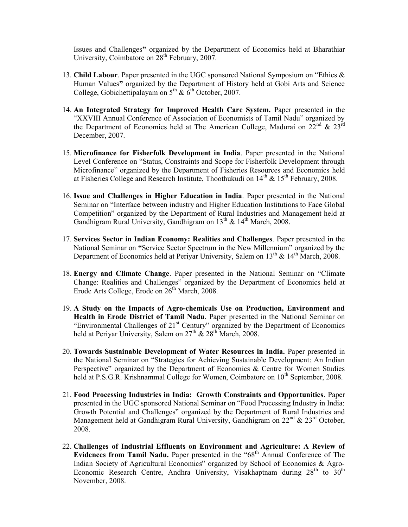Issues and Challenges" organized by the Department of Economics held at Bharathiar University, Coimbatore on  $28<sup>th</sup>$  February, 2007.

- 13. Child Labour. Paper presented in the UGC sponsored National Symposium on "Ethics & Human Values" organized by the Department of History held at Gobi Arts and Science College, Gobichettipalayam on  $5<sup>th</sup>$  &  $6<sup>th</sup>$  October, 2007.
- 14. An Integrated Strategy for Improved Health Care System. Paper presented in the "XXVIII Annual Conference of Association of Economists of Tamil Nadu" organized by the Department of Economics held at The American College, Madurai on  $22^{\text{nd}}$  &  $23^{\text{rd}}$ December, 2007.
- 15. Microfinance for Fisherfolk Development in India. Paper presented in the National Level Conference on "Status, Constraints and Scope for Fisherfolk Development through Microfinance" organized by the Department of Fisheries Resources and Economics held at Fisheries College and Research Institute, Thoothukudi on  $14^{th}$  &  $15^{th}$  February, 2008.
- 16. Issue and Challenges in Higher Education in India. Paper presented in the National Seminar on "Interface between industry and Higher Education Institutions to Face Global Competition" organized by the Department of Rural Industries and Management held at Gandhigram Rural University, Gandhigram on  $13^{th}$  &  $14^{th}$  March, 2008.
- 17. Services Sector in Indian Economy: Realities and Challenges. Paper presented in the National Seminar on "Service Sector Spectrum in the New Millennium" organized by the Department of Economics held at Periyar University, Salem on  $13<sup>th</sup>$  &  $14<sup>th</sup>$  March, 2008.
- 18. Energy and Climate Change. Paper presented in the National Seminar on "Climate Change: Realities and Challenges" organized by the Department of Economics held at Erode Arts College, Erode on  $26<sup>th</sup>$  March, 2008.
- 19. A Study on the Impacts of Agro-chemicals Use on Production, Environment and Health in Erode District of Tamil Nadu. Paper presented in the National Seminar on "Environmental Challenges of  $21<sup>st</sup>$  Century" organized by the Department of Economics held at Periyar University, Salem on  $27^{\text{th}}$  &  $28^{\text{th}}$  March, 2008.
- 20. Towards Sustainable Development of Water Resources in India. Paper presented in the National Seminar on "Strategies for Achieving Sustainable Development: An Indian Perspective" organized by the Department of Economics & Centre for Women Studies held at P.S.G.R. Krishnammal College for Women, Coimbatore on  $10^{th}$  September, 2008.
- 21. Food Processing Industries in India: Growth Constraints and Opportunities. Paper presented in the UGC sponsored National Seminar on "Food Processing Industry in India: Growth Potential and Challenges" organized by the Department of Rural Industries and Management held at Gandhigram Rural University, Gandhigram on  $22<sup>nd</sup>$  &  $23<sup>rd</sup>$  October. 2008.
- 22. Challenges of Industrial Effluents on Environment and Agriculture: A Review of Evidences from Tamil Nadu. Paper presented in the " $68<sup>th</sup>$  Annual Conference of The Indian Society of Agricultural Economics" organized by School of Economics & Agro-Economic Research Centre, Andhra University, Visakhaptnam during  $28<sup>th</sup>$  to  $30<sup>th</sup>$ November, 2008.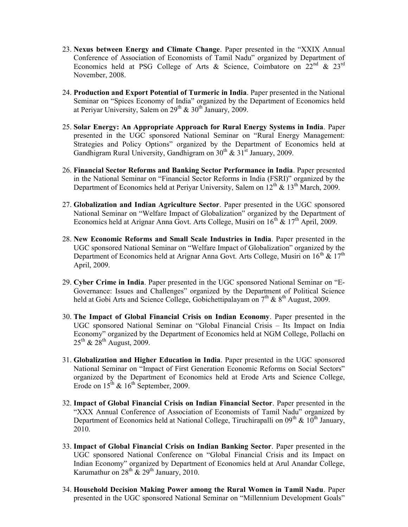- 23. Nexus between Energy and Climate Change. Paper presented in the "XXIX Annual Conference of Association of Economists of Tamil Nadu" organized by Department of Economics held at PSG College of Arts & Science, Coimbatore on  $22^{nd}$  &  $23^{rd}$ November, 2008.
- 24. Production and Export Potential of Turmeric in India. Paper presented in the National Seminar on "Spices Economy of India" organized by the Department of Economics held at Periyar University, Salem on  $29^{th}$  &  $30^{th}$  January, 2009.
- 25. Solar Energy: An Appropriate Approach for Rural Energy Systems in India. Paper presented in the UGC sponsored National Seminar on "Rural Energy Management: Strategies and Policy Options" organized by the Department of Economics held at Gandhigram Rural University, Gandhigram on  $30<sup>th</sup>$  &  $31<sup>st</sup>$  January, 2009.
- 26. Financial Sector Reforms and Banking Sector Performance in India. Paper presented in the National Seminar on "Financial Sector Reforms in India (FSRI)" organized by the Department of Economics held at Periyar University, Salem on  $12^{th} \& 13^{th}$  March, 2009.
- 27. Globalization and Indian Agriculture Sector. Paper presented in the UGC sponsored National Seminar on "Welfare Impact of Globalization" organized by the Department of Economics held at Arignar Anna Govt. Arts College, Musiri on  $16^{th}$  &  $17^{th}$  April, 2009.
- 28. New Economic Reforms and Small Scale Industries in India. Paper presented in the UGC sponsored National Seminar on "Welfare Impact of Globalization" organized by the Department of Economics held at Arignar Anna Govt. Arts College, Musiri on 16<sup>th</sup> & 17<sup>th</sup> April, 2009.
- 29. Cyber Crime in India. Paper presented in the UGC sponsored National Seminar on "E-Governance: Issues and Challenges" organized by the Department of Political Science held at Gobi Arts and Science College, Gobichettipalayam on  $7<sup>th</sup>$  &  $8<sup>th</sup>$  August, 2009.
- 30. The Impact of Global Financial Crisis on Indian Economy. Paper presented in the UGC sponsored National Seminar on "Global Financial Crisis – Its Impact on India Economy" organized by the Department of Economics held at NGM College, Pollachi on  $25<sup>th</sup>$  &  $28<sup>th</sup>$  August, 2009.
- 31. Globalization and Higher Education in India. Paper presented in the UGC sponsored National Seminar on "Impact of First Generation Economic Reforms on Social Sectors" organized by the Department of Economics held at Erode Arts and Science College, Erode on  $15^{th}$  &  $16^{th}$  September, 2009.
- 32. Impact of Global Financial Crisis on Indian Financial Sector. Paper presented in the "XXX Annual Conference of Association of Economists of Tamil Nadu" organized by Department of Economics held at National College, Tiruchirapalli on  $09<sup>th</sup>$  &  $10<sup>th</sup>$  January, 2010.
- 33. Impact of Global Financial Crisis on Indian Banking Sector. Paper presented in the UGC sponsored National Conference on "Global Financial Crisis and its Impact on Indian Economy" organized by Department of Economics held at Arul Anandar College, Karumathur on  $28^{th}$  &  $29^{th}$  January, 2010.
- 34. Household Decision Making Power among the Rural Women in Tamil Nadu. Paper presented in the UGC sponsored National Seminar on "Millennium Development Goals"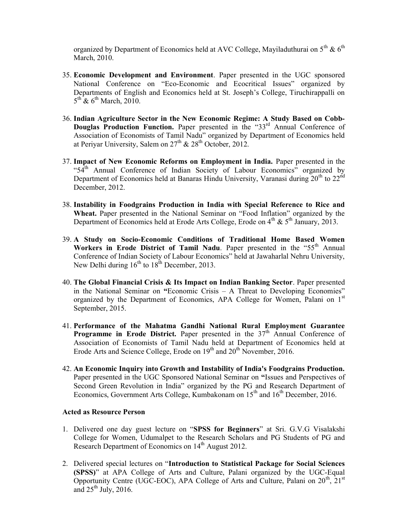organized by Department of Economics held at AVC College, Mayiladuthurai on  $5^{th}$  &  $6^{th}$ March, 2010.

- 35. Economic Development and Environment. Paper presented in the UGC sponsored National Conference on "Eco-Economic and Ecocritical Issues" organized by Departments of English and Economics held at St. Joseph's College, Tiruchirappalli on  $5^{\text{th}}$  &  $6^{\text{th}}$  March, 2010.
- 36. Indian Agriculture Sector in the New Economic Regime: A Study Based on Cobb-Douglas Production Function. Paper presented in the "33rd Annual Conference of Association of Economists of Tamil Nadu" organized by Department of Economics held at Periyar University, Salem on  $27<sup>th</sup>$  &  $28<sup>th</sup>$  October, 2012.
- 37. Impact of New Economic Reforms on Employment in India. Paper presented in the "54<sup>th</sup> Annual Conference of Indian Society of Labour Economics" organized by Department of Economics held at Banaras Hindu University, Varanasi during  $20<sup>th</sup>$  to  $22<sup>nd</sup>$ December, 2012.
- 38. Instability in Foodgrains Production in India with Special Reference to Rice and Wheat. Paper presented in the National Seminar on "Food Inflation" organized by the Department of Economics held at Erode Arts College, Erode on  $4<sup>th</sup>$  &  $5<sup>th</sup>$  January, 2013.
- 39. A Study on Socio-Economic Conditions of Traditional Home Based Women Workers in Erode District of Tamil Nadu. Paper presented in the " $55<sup>th</sup>$  Annual Conference of Indian Society of Labour Economics" held at Jawaharlal Nehru University, New Delhi during  $16^{th}$  to  $18^{th}$  December, 2013.
- 40. The Global Financial Crisis & Its Impact on Indian Banking Sector. Paper presented in the National Seminar on "Economic Crisis – A Threat to Developing Economies" organized by the Department of Economics, APA College for Women, Palani on  $1<sup>st</sup>$ September, 2015.
- 41. Performance of the Mahatma Gandhi National Rural Employment Guarantee Programme in Erode District. Paper presented in the  $37<sup>th</sup>$  Annual Conference of Association of Economists of Tamil Nadu held at Department of Economics held at Erode Arts and Science College, Erode on 19<sup>th</sup> and 20<sup>th</sup> November, 2016.
- 42. An Economic Inquiry into Growth and Instability of India's Foodgrains Production. Paper presented in the UGC Sponsored National Seminar on "Issues and Perspectives of Second Green Revolution in India" organized by the PG and Research Department of Economics, Government Arts College, Kumbakonam on  $15<sup>th</sup>$  and  $16<sup>th</sup>$  December, 2016.

#### Acted as Resource Person

- 1. Delivered one day guest lecture on "SPSS for Beginners" at Sri. G.V.G Visalakshi College for Women, Udumalpet to the Research Scholars and PG Students of PG and Research Department of Economics on 14<sup>th</sup> August 2012.
- 2. Delivered special lectures on "Introduction to Statistical Package for Social Sciences (SPSS)" at APA College of Arts and Culture, Palani organized by the UGC-Equal Opportunity Centre (UGC-EOC), APA College of Arts and Culture, Palani on  $20^{th}$ ,  $21^{st}$ and  $25<sup>th</sup>$  July, 2016.